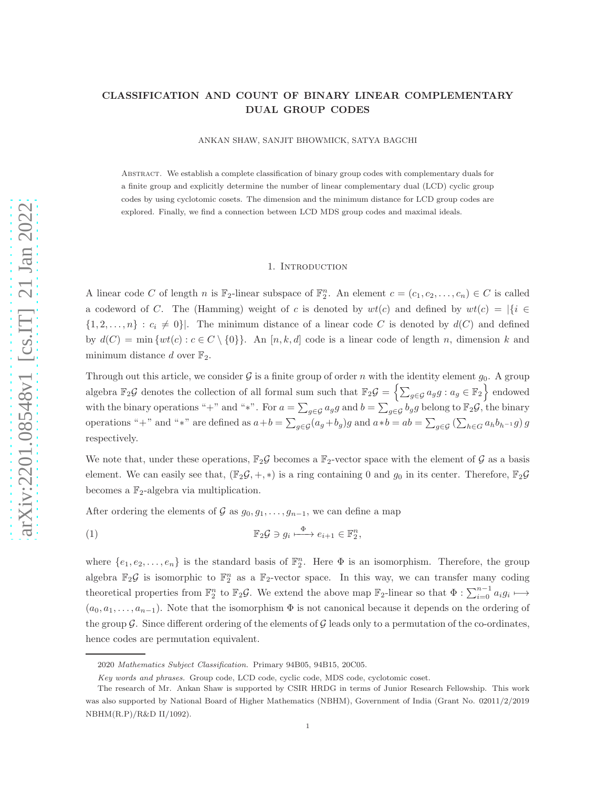# CLASSIFICATION AND COUNT OF BINARY LINEAR COMPLEMENTARY DUAL GROUP CODES

ANKAN SHAW, SANJIT BHOWMICK, SATYA BAGCHI

Abstract. We establish a complete classification of binary group codes with complementary duals for a finite group and explicitly determine the number of linear complementary dual (LCD) cyclic group codes by using cyclotomic cosets. The dimension and the minimum distance for LCD group codes are explored. Finally, we find a connection between LCD MDS group codes and maximal ideals.

### 1. Introduction

A linear code C of length n is  $\mathbb{F}_2$ -linear subspace of  $\mathbb{F}_2^n$ . An element  $c = (c_1, c_2, \ldots, c_n) \in C$  is called a codeword of C. The (Hamming) weight of c is denoted by  $wt(c)$  and defined by  $wt(c) = |\{i \in$  $\{1, 2, \ldots, n\} : c_i \neq 0\}$ . The minimum distance of a linear code C is denoted by  $d(C)$  and defined by  $d(C) = \min \{wt(c) : c \in C \setminus \{0\}\}.$  An  $[n, k, d]$  code is a linear code of length n, dimension k and minimum distance d over  $\mathbb{F}_2$ .

Through out this article, we consider  $G$  is a finite group of order n with the identity element  $g_0$ . A group algebra  $\mathbb{F}_2\mathcal{G}$  denotes the collection of all formal sum such that  $\mathbb{F}_2\mathcal{G} = \left\{ \sum_{g \in \mathcal{G}} a_g g : a_g \in \mathbb{F}_2 \right\}$  endowed with the binary operations "+" and "\*". For  $a = \sum_{g \in \mathcal{G}} a_g g$  and  $b = \sum_{g \in \mathcal{G}} b_g g$  belong to  $\mathbb{F}_2 \mathcal{G}$ , the binary operations "+" and "\*" are defined as  $a+b=\sum_{g\in\mathcal{G}}(a_g+b_g)g$  and  $a*b=ab=\sum_{g\in\mathcal{G}}(\sum_{h\in\mathcal{G}}a_h b_{h^{-1}}g)g$ respectively.

We note that, under these operations,  $\mathbb{F}_2\mathcal{G}$  becomes a  $\mathbb{F}_2$ -vector space with the element of  $\mathcal{G}$  as a basis element. We can easily see that,  $(\mathbb{F}_2 \mathcal{G}, +, *)$  is a ring containing 0 and  $g_0$  in its center. Therefore,  $\mathbb{F}_2 \mathcal{G}$ becomes a  $\mathbb{F}_2$ -algebra via multiplication.

After ordering the elements of G as  $g_0, g_1, \ldots, g_{n-1}$ , we can define a map

<span id="page-0-0"></span>(1) 
$$
\mathbb{F}_2 \mathcal{G} \ni g_i \stackrel{\Phi}{\longmapsto} e_{i+1} \in \mathbb{F}_2^n,
$$

where  $\{e_1, e_2, \ldots, e_n\}$  is the standard basis of  $\mathbb{F}_2^n$ . Here  $\Phi$  is an isomorphism. Therefore, the group algebra  $\mathbb{F}_2$ G is isomorphic to  $\mathbb{F}_2^n$  as a  $\mathbb{F}_2$ -vector space. In this way, we can transfer many coding theoretical properties from  $\mathbb{F}_2^n$  to  $\mathbb{F}_2\mathcal{G}$ . We extend the above map  $\mathbb{F}_2$ -linear so that  $\Phi: \sum_{i=0}^{n-1} a_i g_i \longmapsto$  $(a_0, a_1, \ldots, a_{n-1})$ . Note that the isomorphism  $\Phi$  is not canonical because it depends on the ordering of the group  $\mathcal G$ . Since different ordering of the elements of  $\mathcal G$  leads only to a permutation of the co-ordinates, hence codes are permutation equivalent.

1

<sup>2020</sup> Mathematics Subject Classification. Primary 94B05, 94B15, 20C05.

Key words and phrases. Group code, LCD code, cyclic code, MDS code, cyclotomic coset.

The research of Mr. Ankan Shaw is supported by CSIR HRDG in terms of Junior Research Fellowship. This work was also supported by National Board of Higher Mathematics (NBHM), Government of India (Grant No. 02011/2/2019 NBHM(R.P)/R&D II/1092).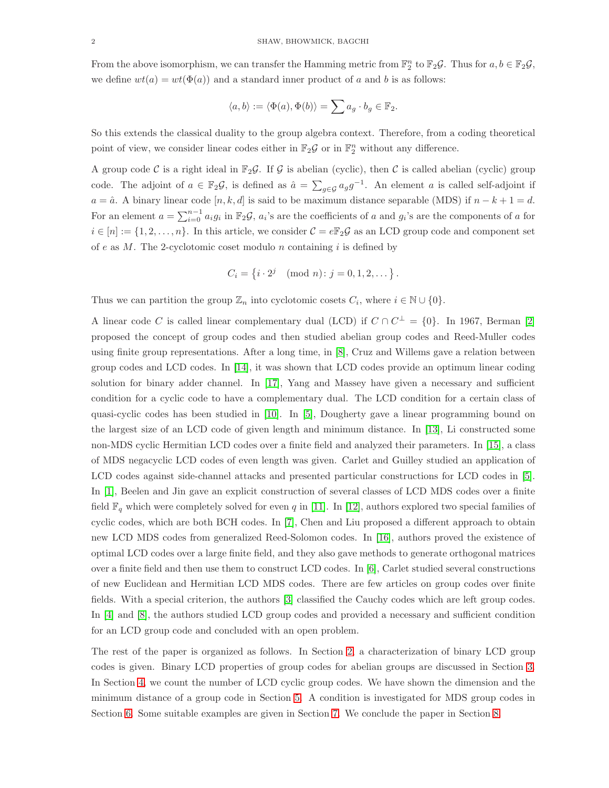From the above isomorphism, we can transfer the Hamming metric from  $\mathbb{F}_2^n$  to  $\mathbb{F}_2\mathcal{G}$ . Thus for  $a, b \in \mathbb{F}_2\mathcal{G}$ , we define  $wt(a) = wt(\Phi(a))$  and a standard inner product of a and b is as follows:

$$
\langle a, b \rangle := \langle \Phi(a), \Phi(b) \rangle = \sum a_g \cdot b_g \in \mathbb{F}_2.
$$

So this extends the classical duality to the group algebra context. Therefore, from a coding theoretical point of view, we consider linear codes either in  $\mathbb{F}_2\mathcal{G}$  or in  $\mathbb{F}_2^n$  without any difference.

A group code C is a right ideal in  $\mathbb{F}_2\mathcal{G}$ . If G is abelian (cyclic), then C is called abelian (cyclic) group code. The adjoint of  $a \in \mathbb{F}_2 \mathcal{G}$ , is defined as  $\hat{a} = \sum_{g \in \mathcal{G}} a_g g^{-1}$ . An element a is called self-adjoint if  $a = \hat{a}$ . A binary linear code [n, k, d] is said to be maximum distance separable (MDS) if  $n - k + 1 = d$ . For an element  $a = \sum_{i=0}^{n-1} a_i g_i$  in  $\mathbb{F}_2 \mathcal{G}$ ,  $a_i$ 's are the coefficients of a and  $g_i$ 's are the components of a for  $i \in [n] := \{1, 2, \ldots, n\}.$  In this article, we consider  $\mathcal{C} = e \mathbb{F}_2 \mathcal{G}$  as an LCD group code and component set of e as  $M$ . The 2-cyclotomic coset modulo n containing i is defined by

$$
C_i = \{i \cdot 2^j \pmod{n} : j = 0, 1, 2, \dots \}.
$$

Thus we can partition the group  $\mathbb{Z}_n$  into cyclotomic cosets  $C_i$ , where  $i \in \mathbb{N} \cup \{0\}$ .

A linear code C is called linear complementary dual (LCD) if  $C \cap C^{\perp} = \{0\}$ . In 1967, Berman [\[2\]](#page-9-0) proposed the concept of group codes and then studied abelian group codes and Reed-Muller codes using finite group representations. After a long time, in [\[8\]](#page-9-1), Cruz and Willems gave a relation between group codes and LCD codes. In [\[14\]](#page-9-2), it was shown that LCD codes provide an optimum linear coding solution for binary adder channel. In [\[17\]](#page-9-3), Yang and Massey have given a necessary and sufficient condition for a cyclic code to have a complementary dual. The LCD condition for a certain class of quasi-cyclic codes has been studied in [\[10\]](#page-9-4). In [\[5\]](#page-9-5), Dougherty gave a linear programming bound on the largest size of an LCD code of given length and minimum distance. In [\[13\]](#page-9-6), Li constructed some non-MDS cyclic Hermitian LCD codes over a finite field and analyzed their parameters. In [\[15\]](#page-9-7), a class of MDS negacyclic LCD codes of even length was given. Carlet and Guilley studied an application of LCD codes against side-channel attacks and presented particular constructions for LCD codes in [\[5\]](#page-9-5). In [\[1\]](#page-9-8), Beelen and Jin gave an explicit construction of several classes of LCD MDS codes over a finite field  $\mathbb{F}_q$  which were completely solved for even q in [\[11\]](#page-9-9). In [\[12\]](#page-9-10), authors explored two special families of cyclic codes, which are both BCH codes. In [\[7\]](#page-9-11), Chen and Liu proposed a different approach to obtain new LCD MDS codes from generalized Reed-Solomon codes. In [\[16\]](#page-9-12), authors proved the existence of optimal LCD codes over a large finite field, and they also gave methods to generate orthogonal matrices over a finite field and then use them to construct LCD codes. In [\[6\]](#page-9-13), Carlet studied several constructions of new Euclidean and Hermitian LCD MDS codes. There are few articles on group codes over finite fields. With a special criterion, the authors [\[3\]](#page-9-14) classified the Cauchy codes which are left group codes. In [\[4\]](#page-9-15) and [\[8\]](#page-9-1), the authors studied LCD group codes and provided a necessary and sufficient condition for an LCD group code and concluded with an open problem.

The rest of the paper is organized as follows. In Section [2,](#page-2-0) a characterization of binary LCD group codes is given. Binary LCD properties of group codes for abelian groups are discussed in Section [3.](#page-3-0) In Section [4,](#page-4-0) we count the number of LCD cyclic group codes. We have shown the dimension and the minimum distance of a group code in Section [5.](#page-6-0) A condition is investigated for MDS group codes in Section [6.](#page-8-0) Some suitable examples are given in Section [7.](#page-8-1) We conclude the paper in Section [8.](#page-9-16)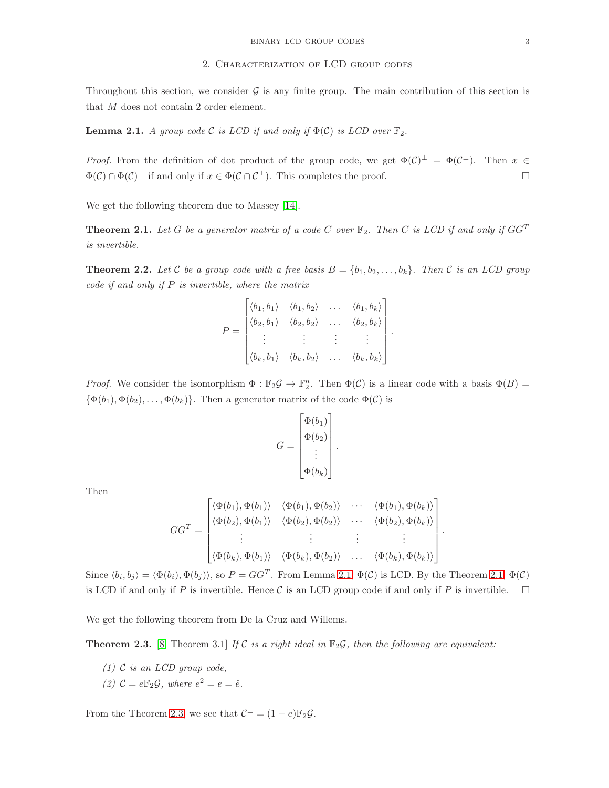<span id="page-2-0"></span>Throughout this section, we consider  $\mathcal G$  is any finite group. The main contribution of this section is that M does not contain 2 order element.

<span id="page-2-1"></span>**Lemma 2.1.** *A group code*  $C$  *is LCD if and only if*  $\Phi(C)$  *is LCD over*  $\mathbb{F}_2$ *.* 

*Proof.* From the definition of dot product of the group code, we get  $\Phi(\mathcal{C})^{\perp} = \Phi(\mathcal{C}^{\perp})$ . Then  $x \in \mathcal{C}$  $\Phi(\mathcal{C}) \cap \Phi(\mathcal{C})^{\perp}$  if and only if  $x \in \Phi(\mathcal{C} \cap \mathcal{C}^{\perp})$ . This completes the proof.

We get the following theorem due to Massey [\[14\]](#page-9-2).

<span id="page-2-2"></span>**Theorem 2.1.** Let G be a generator matrix of a code C over  $\mathbb{F}_2$ . Then C is LCD if and only if  $GG^T$ *is invertible.*

**Theorem 2.2.** Let C be a group code with a free basis  $B = \{b_1, b_2, \ldots, b_k\}$ . Then C is an LCD group *code if and only if* P *is invertible, where the matrix*

$$
P = \begin{bmatrix} \langle b_1, b_1 \rangle & \langle b_1, b_2 \rangle & \dots & \langle b_1, b_k \rangle \\ \langle b_2, b_1 \rangle & \langle b_2, b_2 \rangle & \dots & \langle b_2, b_k \rangle \\ \vdots & \vdots & \vdots & \vdots \\ \langle b_k, b_1 \rangle & \langle b_k, b_2 \rangle & \dots & \langle b_k, b_k \rangle \end{bmatrix}
$$

.

.

*Proof.* We consider the isomorphism  $\Phi : \mathbb{F}_2 \mathcal{G} \to \mathbb{F}_2^n$ . Then  $\Phi(\mathcal{C})$  is a linear code with a basis  $\Phi(B)$  =  $\{\Phi(b_1), \Phi(b_2), \ldots, \Phi(b_k)\}\$ . Then a generator matrix of the code  $\Phi(\mathcal{C})$  is

$$
G = \begin{bmatrix} \Phi(b_1) \\ \Phi(b_2) \\ \vdots \\ \Phi(b_k) \end{bmatrix}.
$$

Then

$$
GG^{T} = \begin{bmatrix} \langle \Phi(b_1), \Phi(b_1) \rangle & \langle \Phi(b_1), \Phi(b_2) \rangle & \cdots & \langle \Phi(b_1), \Phi(b_k) \rangle \\ \langle \Phi(b_2), \Phi(b_1) \rangle & \langle \Phi(b_2), \Phi(b_2) \rangle & \cdots & \langle \Phi(b_2), \Phi(b_k) \rangle \\ \vdots & \vdots & \vdots & \vdots \\ \langle \Phi(b_k), \Phi(b_1) \rangle & \langle \Phi(b_k), \Phi(b_2) \rangle & \cdots & \langle \Phi(b_k), \Phi(b_k) \rangle \end{bmatrix}
$$

Since  $\langle b_i, b_j \rangle = \langle \Phi(b_i), \Phi(b_j) \rangle$ , so  $P = GG^T$ . From Lemma [2.1,](#page-2-2)  $\Phi(\mathcal{C})$  is LCD. By the Theorem 2.1,  $\Phi(\mathcal{C})$ is LCD if and only if P is invertible. Hence C is an LCD group code if and only if P is invertible.  $\square$ 

We get the following theorem from De la Cruz and Willems.

<span id="page-2-3"></span>**Theorem 2.3.** [\[8,](#page-9-1) Theorem 3.1] *If* C *is a right ideal in*  $\mathbb{F}_2 \mathcal{G}$ *, then the following are equivalent:* 

*(1)* C *is an LCD group code,*

*(2)*  $C = e\mathbb{F}_2 \mathcal{G}$ *, where*  $e^2 = e = \hat{e}$ *.* 

From the Theorem [2.3,](#page-2-3) we see that  $\mathcal{C}^{\perp} = (1 - e) \mathbb{F}_2 \mathcal{G}$ .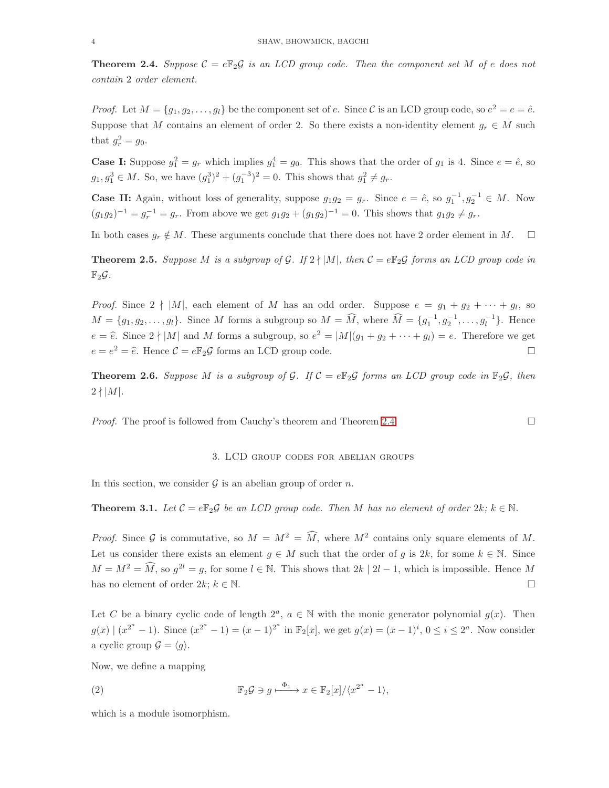<span id="page-3-1"></span>**Theorem 2.4.** Suppose  $C = e \mathbb{F}_2 \mathcal{G}$  is an LCD group code. Then the component set M of e does not *contain* 2 *order element.*

*Proof.* Let  $M = \{g_1, g_2, \ldots, g_l\}$  be the component set of e. Since C is an LCD group code, so  $e^2 = e = \hat{e}$ . Suppose that M contains an element of order 2. So there exists a non-identity element  $g_r \in M$  such that  $g_r^2 = g_0$ .

**Case I:** Suppose  $g_1^2 = g_r$  which implies  $g_1^4 = g_0$ . This shows that the order of  $g_1$  is 4. Since  $e = \hat{e}$ , so  $g_1, g_1^3 \in M$ . So, we have  $(g_1^3)^2 + (g_1^{-3})^2 = 0$ . This shows that  $g_1^2 \neq g_r$ .

**Case II:** Again, without loss of generality, suppose  $g_1g_2 = g_r$ . Since  $e = \hat{e}$ , so  $g_1^{-1}, g_2^{-1} \in M$ . Now  $(g_1g_2)^{-1} = g_r^{-1} = g_r$ . From above we get  $g_1g_2 + (g_1g_2)^{-1} = 0$ . This shows that  $g_1g_2 \neq g_r$ .

In both cases  $g_r \notin M$ . These arguments conclude that there does not have 2 order element in M.  $\square$ 

**Theorem 2.5.** Suppose M is a subgroup of G. If  $2 \nmid M$ , then  $C = e \mathbb{F}_2 G$  forms an LCD group code in  $\mathbb{F}_2 \mathcal{G}$ .

*Proof.* Since  $2 \nmid |M|$ , each element of M has an odd order. Suppose  $e = g_1 + g_2 + \cdots + g_l$ , so  $M = \{g_1, g_2, \ldots, g_l\}$ . Since M forms a subgroup so  $M = \widehat{M}$ , where  $\widehat{M} = \{g_1^{-1}, g_2^{-1}, \ldots, g_l^{-1}\}$ . Hence  $e = \hat{e}$ . Since  $2 \nmid |M|$  and M forms a subgroup, so  $e^2 = |M|(g_1 + g_2 + \cdots + g_l) = e$ . Therefore we get  $e = e^2 = \hat{e}$ . Hence  $C = e \mathbb{F}_2 \mathcal{G}$  forms an LCD group code.

**Theorem 2.6.** Suppose M is a subgroup of G. If  $C = e\mathbb{F}_2G$  forms an LCD group code in  $\mathbb{F}_2G$ , then  $2 \nmid |M|$ .

<span id="page-3-0"></span>*Proof.* The proof is followed from Cauchy's theorem and Theorem [2.4.](#page-3-1)

#### 3. LCD group codes for abelian groups

In this section, we consider  $G$  is an abelian group of order n.

**Theorem 3.1.** Let  $C = e\mathbb{F}_2\mathcal{G}$  be an LCD group code. Then M has no element of order  $2k$ ;  $k \in \mathbb{N}$ .

*Proof.* Since G is commutative, so  $M = M^2 = \hat{M}$ , where  $M^2$  contains only square elements of M. Let us consider there exists an element  $g \in M$  such that the order of g is 2k, for some  $k \in \mathbb{N}$ . Since  $M = M^2 = \widehat{M}$ , so  $g^2 = g$ , for some  $l \in \mathbb{N}$ . This shows that  $2k \mid 2l-1$ , which is impossible. Hence M has no element of order  $2k$ ;  $k \in \mathbb{N}$ .

Let C be a binary cyclic code of length  $2^a$ ,  $a \in \mathbb{N}$  with the monic generator polynomial  $g(x)$ . Then  $g(x) | (x^{2^{a}} - 1)$ . Since  $(x^{2^{a}} - 1) = (x - 1)^{2^{a}}$  in  $\mathbb{F}_{2}[x]$ , we get  $g(x) = (x - 1)^{i}$ ,  $0 \le i \le 2^{a}$ . Now consider a cyclic group  $\mathcal{G} = \langle q \rangle$ .

Now, we define a mapping

<span id="page-3-2"></span>(2) 
$$
\mathbb{F}_2 \mathcal{G} \ni g \xrightarrow{\Phi_1} x \in \mathbb{F}_2[x]/\langle x^{2^a} - 1 \rangle,
$$

which is a module isomorphism.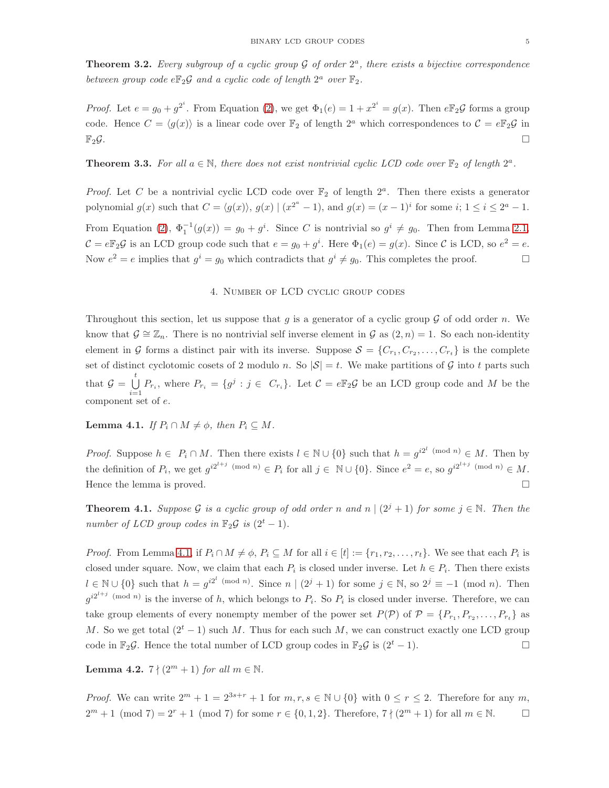Theorem 3.2. *Every subgroup of a cyclic group*  $G$  *of order*  $2^a$ *, there exists a bijective correspondence* between group code  $e \mathbb{F}_2 \mathcal{G}$  and a cyclic code of length  $2^a$  over  $\mathbb{F}_2$ .

*Proof.* Let  $e = g_0 + g^{2^i}$ . From Equation [\(2\)](#page-3-2), we get  $\Phi_1(e) = 1 + x^{2^i} = g(x)$ . Then  $e \mathbb{F}_2 \mathcal{G}$  forms a group code. Hence  $C = \langle g(x) \rangle$  is a linear code over  $\mathbb{F}_2$  of length  $2^a$  which correspondences to  $\mathcal{C} = e\mathbb{F}_2\mathcal{G}$  in  $\mathbb{F}_2\mathcal{G}.$ 

**Theorem 3.3.** For all  $a \in \mathbb{N}$ , there does not exist nontrivial cyclic LCD code over  $\mathbb{F}_2$  of length  $2^a$ .

*Proof.* Let C be a nontrivial cyclic LCD code over  $\mathbb{F}_2$  of length  $2^a$ . Then there exists a generator polynomial  $g(x)$  such that  $C = \langle g(x) \rangle$ ,  $g(x) | (x^{2^a} - 1)$ , and  $g(x) = (x - 1)^i$  for some  $i; 1 \le i \le 2^a - 1$ . From Equation [\(2\)](#page-3-2),  $\Phi_1^{-1}(g(x)) = g_0 + g^i$ . Since C is nontrivial so  $g^i \neq g_0$ . Then from Lemma [2.1,](#page-2-1)  $\mathcal{C} = e \mathbb{F}_2 \mathcal{G}$  is an LCD group code such that  $e = g_0 + g^i$ . Here  $\Phi_1(e) = g(x)$ . Since  $\mathcal{C}$  is LCD, so  $e^2 = e$ . Now  $e^2 = e$  implies that  $g^i = g_0$  which contradicts that  $g^i \neq g_0$ . This completes the proof.

### 4. Number of LCD cyclic group codes

<span id="page-4-0"></span>Throughout this section, let us suppose that g is a generator of a cyclic group  $\mathcal G$  of odd order n. We know that  $\mathcal{G} \cong \mathbb{Z}_n$ . There is no nontrivial self inverse element in  $\mathcal{G}$  as  $(2, n) = 1$ . So each non-identity element in G forms a distinct pair with its inverse. Suppose  $S = \{C_{r_1}, C_{r_2}, \ldots, C_{r_t}\}\$ is the complete set of distinct cyclotomic cosets of 2 modulo n. So  $|\mathcal{S}| = t$ . We make partitions of G into t parts such that  $\mathcal{G} = \bigcup^{t}$  $\bigcup_{i=1} P_{r_i}$ , where  $P_{r_i} = \{g^j : j \in C_{r_i}\}.$  Let  $\mathcal{C} = e \mathbb{F}_2 \mathcal{G}$  be an LCD group code and M be the component set of e.

<span id="page-4-1"></span>**Lemma 4.1.** *If*  $P_i \cap M \neq \emptyset$ , *then*  $P_i \subseteq M$ *.* 

*Proof.* Suppose  $h \in P_i \cap M$ . Then there exists  $l \in \mathbb{N} \cup \{0\}$  such that  $h = g^{i2^{l} \pmod{n}} \in M$ . Then by the definition of  $P_i$ , we get  $g^{i2^{l+j} \pmod{n}} \in P_i$  for all  $j \in \mathbb{N} \cup \{0\}$ . Since  $e^2 = e$ , so  $g^{i2^{l+j} \pmod{n}} \in M$ . Hence the lemma is proved.  $\hfill \square$ 

**Theorem 4.1.** *Suppose* G *is a cyclic group of odd order* n and  $n \mid (2^{j} + 1)$  *for some*  $j \in \mathbb{N}$ *. Then the number of LCD group codes in*  $\mathbb{F}_2\mathcal{G}$  *is*  $(2^t - 1)$ *.* 

*Proof.* From Lemma [4.1,](#page-4-1) if  $P_i \cap M \neq \emptyset$ ,  $P_i \subseteq M$  for all  $i \in [t] := \{r_1, r_2, \ldots, r_t\}$ . We see that each  $P_i$  is closed under square. Now, we claim that each  $P_i$  is closed under inverse. Let  $h \in P_i$ . Then there exists  $l \in \mathbb{N} \cup \{0\}$  such that  $h = g^{i2^{l} \pmod{n}}$ . Since  $n \mid (2^{j} + 1)$  for some  $j \in \mathbb{N}$ , so  $2^{j} \equiv -1 \pmod{n}$ . Then  $g^{i2^{l+j} \pmod{n}}$  is the inverse of h, which belongs to  $P_i$ . So  $P_i$  is closed under inverse. Therefore, we can take group elements of every nonempty member of the power set  $P(\mathcal{P})$  of  $\mathcal{P} = \{P_{r_1}, P_{r_2}, \ldots, P_{r_t}\}$  as M. So we get total  $(2<sup>t</sup> - 1)$  such M. Thus for each such M, we can construct exactly one LCD group code in F<sub>2</sub>G. Hence the total number of LCD group codes in F<sub>2</sub>G is  $(2^t - 1)$ .

<span id="page-4-2"></span>**Lemma 4.2.**  $7 \nmid (2^m + 1)$  *for all*  $m \in \mathbb{N}$ *.* 

*Proof.* We can write  $2^m + 1 = 2^{3s+r} + 1$  for  $m, r, s \in \mathbb{N} \cup \{0\}$  with  $0 \le r \le 2$ . Therefore for any m,  $2^m + 1 \pmod{7} = 2^r + 1 \pmod{7}$  for some  $r \in \{0, 1, 2\}$ . Therefore,  $7 \nmid (2^m + 1)$  for all  $m \in \mathbb{N}$ .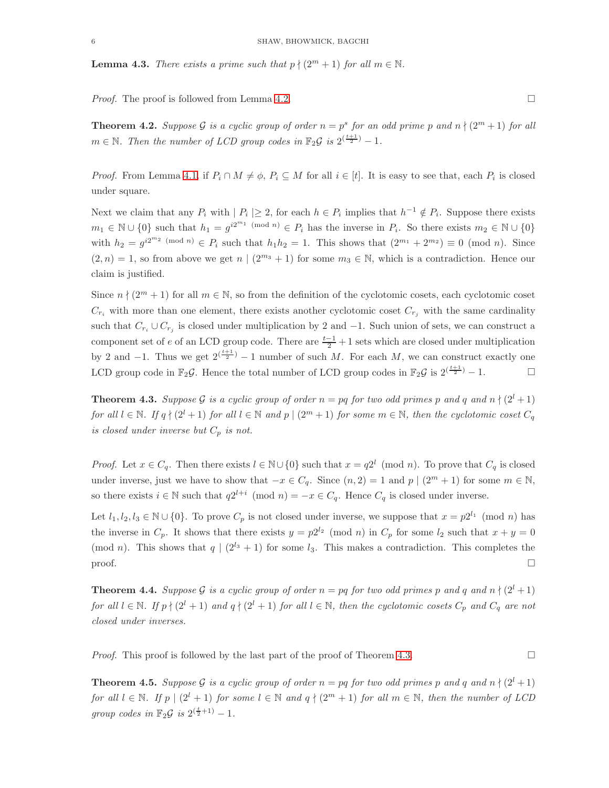**Lemma 4.3.** *There exists a prime such that*  $p \nmid (2^m + 1)$  *for all*  $m \in \mathbb{N}$ *.* 

*Proof.* The proof is followed from Lemma [4.2.](#page-4-2) □

<span id="page-5-1"></span>**Theorem 4.2.** Suppose G is a cyclic group of order  $n = p^s$  for an odd prime p and  $n \nmid (2^m + 1)$  for all  $m \in \mathbb{N}$ . Then the number of LCD group codes in  $\mathbb{F}_2\mathcal{G}$  is  $2^{\left(\frac{t+1}{2}\right)} - 1$ .

*Proof.* From Lemma [4.1,](#page-4-1) if  $P_i \cap M \neq \emptyset$ ,  $P_i \subseteq M$  for all  $i \in [t]$ . It is easy to see that, each  $P_i$  is closed under square.

Next we claim that any  $P_i$  with  $|P_i| \geq 2$ , for each  $h \in P_i$  implies that  $h^{-1} \notin P_i$ . Suppose there exists  $m_1 \in \mathbb{N} \cup \{0\}$  such that  $h_1 = g^{i2^{m_1} \pmod{n}} \in P_i$  has the inverse in  $P_i$ . So there exists  $m_2 \in \mathbb{N} \cup \{0\}$ with  $h_2 = g^{i2^{m_2} \pmod{n}} \in P_i$  such that  $h_1 h_2 = 1$ . This shows that  $(2^{m_1} + 2^{m_2}) \equiv 0 \pmod{n}$ . Since  $(2, n) = 1$ , so from above we get  $n \mid (2^{m_3} + 1)$  for some  $m_3 \in \mathbb{N}$ , which is a contradiction. Hence our claim is justified.

Since  $n \nmid (2^m + 1)$  for all  $m \in \mathbb{N}$ , so from the definition of the cyclotomic cosets, each cyclotomic coset  $C_{r_i}$  with more than one element, there exists another cyclotomic coset  $C_{r_i}$  with the same cardinality such that  $C_{r_i} \cup C_{r_j}$  is closed under multiplication by 2 and  $-1$ . Such union of sets, we can construct a component set of e of an LCD group code. There are  $\frac{t-1}{2} + 1$  sets which are closed under multiplication by 2 and -1. Thus we get  $2^{\left(\frac{t+1}{2}\right)} - 1$  number of such M. For each M, we can construct exactly one LCD group code in  $\mathbb{F}_2 \mathcal{G}$ . Hence the total number of LCD group codes in  $\mathbb{F}_2 \mathcal{G}$  is  $2^{(\frac{t+1}{2})} - 1$ .

<span id="page-5-0"></span>**Theorem 4.3.** *Suppose* G *is a cyclic group of order*  $n = pq$  *for two odd primes* p and q and  $n \nmid (2^l + 1)$ *for all*  $l \in \mathbb{N}$ *. If*  $q \nmid (2^l + 1)$  *for all*  $l \in \mathbb{N}$  *and*  $p \mid (2^m + 1)$  *for some*  $m \in \mathbb{N}$ *, then the cyclotomic coset*  $C_q$ *is closed under inverse but*  $C_p$  *is not.* 

*Proof.* Let  $x \in C_q$ . Then there exists  $l \in \mathbb{N} \cup \{0\}$  such that  $x = q2^l \pmod{n}$ . To prove that  $C_q$  is closed under inverse, just we have to show that  $-x \in C_q$ . Since  $(n, 2) = 1$  and  $p \mid (2^m + 1)$  for some  $m \in \mathbb{N}$ , so there exists  $i \in \mathbb{N}$  such that  $q2^{l+i} \pmod{n} = -x \in C_q$ . Hence  $C_q$  is closed under inverse.

Let  $l_1, l_2, l_3 \in \mathbb{N} \cup \{0\}$ . To prove  $C_p$  is not closed under inverse, we suppose that  $x = p2^{l_1} \pmod{n}$  has the inverse in  $C_p$ . It shows that there exists  $y = p2^{l_2} \pmod{n}$  in  $C_p$  for some  $l_2$  such that  $x + y = 0$ (mod n). This shows that  $q \mid (2^{l_3} + 1)$  for some  $l_3$ . This makes a contradiction. This completes the  $\Box$ 

<span id="page-5-2"></span>**Theorem 4.4.** *Suppose* G *is a cyclic group of order*  $n = pq$  *for two odd primes* p and q and  $n \nmid (2^l + 1)$ *for all*  $l \in \mathbb{N}$ . If  $p \nmid (2^l + 1)$  *and*  $q \nmid (2^l + 1)$  *for all*  $l \in \mathbb{N}$ *, then the cyclotomic cosets*  $C_p$  *and*  $C_q$  *are not closed under inverses.*

*Proof.* This proof is followed by the last part of the proof of Theorem [4.3.](#page-5-0)

<span id="page-5-3"></span>**Theorem 4.5.** *Suppose* G *is a cyclic group of order*  $n = pq$  *for two odd primes* p and q and  $n \nmid (2^l + 1)$ *for all*  $l \in \mathbb{N}$ *. If*  $p \mid (2^l + 1)$  *for some*  $l \in \mathbb{N}$  *and*  $q \nmid (2^m + 1)$  *for all*  $m \in \mathbb{N}$ *, then the number of LCD group codes in*  $\mathbb{F}_2 \mathcal{G}$  *is*  $2^{(\frac{t}{2}+1)} - 1$ *.*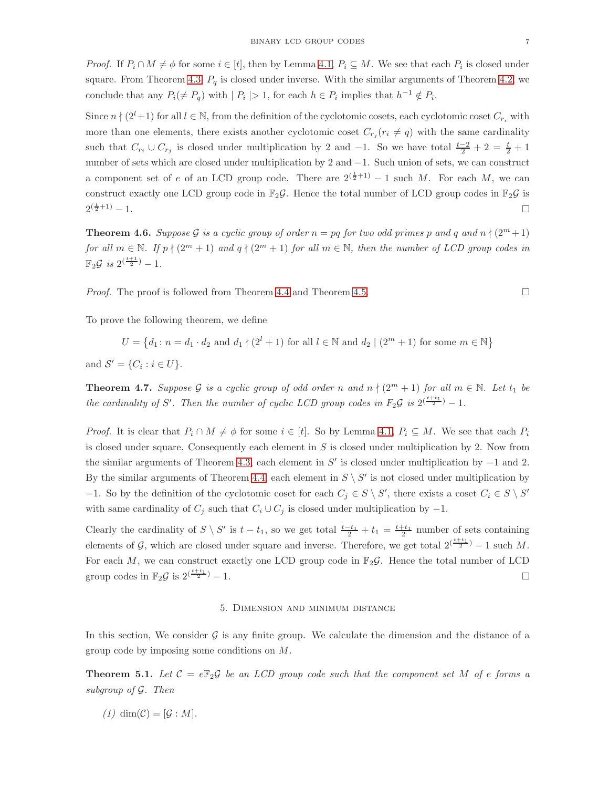*Proof.* If  $P_i \cap M \neq \emptyset$  for some  $i \in [t]$ , then by Lemma [4.1,](#page-4-1)  $P_i \subseteq M$ . We see that each  $P_i$  is closed under square. From Theorem [4.3,](#page-5-0)  $P_q$  is closed under inverse. With the similar arguments of Theorem [4.2,](#page-5-1) we conclude that any  $P_i(\neq P_q)$  with  $|P_i| > 1$ , for each  $h \in P_i$  implies that  $h^{-1} \notin P_i$ .

Since  $n \nmid (2^l+1)$  for all  $l \in \mathbb{N}$ , from the definition of the cyclotomic cosets, each cyclotomic coset  $C_{r_i}$  with more than one elements, there exists another cyclotomic coset  $C_{r_j}(r_i \neq q)$  with the same cardinality such that  $C_{r_i} \cup C_{r_j}$  is closed under multiplication by 2 and -1. So we have total  $\frac{t-2}{2} + 2 = \frac{t}{2} + 1$ number of sets which are closed under multiplication by 2 and −1. Such union of sets, we can construct a component set of e of an LCD group code. There are  $2^{(\frac{t}{2}+1)} - 1$  such M. For each M, we can construct exactly one LCD group code in  $\mathbb{F}_2\mathcal{G}$ . Hence the total number of LCD group codes in  $\mathbb{F}_2\mathcal{G}$  is  $2^{(\frac{t}{2})}$  $\frac{t}{2}$  +1)  $-1$ .

**Theorem 4.6.** Suppose G is a cyclic group of order  $n = pq$  for two odd primes p and q and  $n \nmid (2^m + 1)$ *for all*  $m \in \mathbb{N}$ . If  $p \nmid (2^m + 1)$  *and*  $q \nmid (2^m + 1)$  *for all*  $m \in \mathbb{N}$ *, then the number of LCD group codes in*  $\mathbb{F}_2 \mathcal{G}$  is  $2^{\left(\frac{t+1}{2}\right)}-1$ .

*Proof.* The proof is followed from Theorem [4.4](#page-5-2) and Theorem [4.5.](#page-5-3) □

To prove the following theorem, we define

$$
U = \left\{ d_1 \colon n = d_1 \cdot d_2 \text{ and } d_1 \nmid (2^l + 1) \text{ for all } l \in \mathbb{N} \text{ and } d_2 \mid (2^m + 1) \text{ for some } m \in \mathbb{N} \right\}
$$

and  $\mathcal{S}' = \{C_i : i \in U\}.$ 

**Theorem 4.7.** *Suppose* G *is a cyclic group of odd order* n and  $n \nmid (2^m + 1)$  *for all*  $m \in \mathbb{N}$ *. Let*  $t_1$  *be the cardinality of* S'. Then the number of cyclic LCD group codes in  $F_2 \mathcal{G}$  is  $2^{\left(\frac{t+t_1}{2}\right)} - 1$ .

*Proof.* It is clear that  $P_i \cap M \neq \emptyset$  for some  $i \in [t]$ . So by Lemma [4.1,](#page-4-1)  $P_i \subseteq M$ . We see that each  $P_i$ is closed under square. Consequently each element in  $S$  is closed under multiplication by 2. Now from the similar arguments of Theorem [4.3,](#page-5-0) each element in  $S'$  is closed under multiplication by  $-1$  and 2. By the similar arguments of Theorem [4.4,](#page-5-2) each element in  $S \setminus S'$  is not closed under multiplication by −1. So by the definition of the cyclotomic coset for each  $C_j \in S \setminus S'$ , there exists a coset  $C_i \in S \setminus S'$ with same cardinality of  $C_j$  such that  $C_i \cup C_j$  is closed under multiplication by  $-1$ .

Clearly the cardinality of  $S \setminus S'$  is  $t - t_1$ , so we get total  $\frac{t - t_1}{2} + t_1 = \frac{t + t_1}{2}$  number of sets containing elements of G, which are closed under square and inverse. Therefore, we get total  $2^{\left(\frac{t+t_1}{2}\right)} - 1$  such M. For each M, we can construct exactly one LCD group code in  $\mathbb{F}_2\mathcal{G}$ . Hence the total number of LCD group codes in  $\mathbb{F}_2 \mathcal{G}$  is  $2^{(\frac{t+t_1}{2})}$  $)$  − 1.

# 5. Dimension and minimum distance

<span id="page-6-0"></span>In this section, We consider  $\mathcal G$  is any finite group. We calculate the dimension and the distance of a group code by imposing some conditions on M.

<span id="page-6-1"></span>**Theorem 5.1.** Let  $C = e\mathbb{F}_2\mathcal{G}$  be an LCD group code such that the component set M of e forms a *subgroup of* G*. Then*

 $(1)$  dim $(\mathcal{C}) = [\mathcal{G}:M].$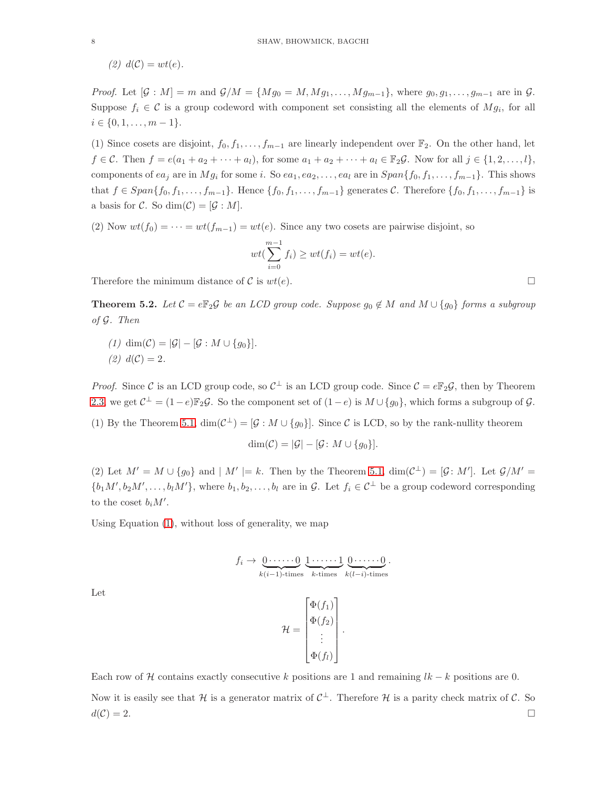*(2)*  $d(C) = wt(e)$ *.* 

*Proof.* Let  $[\mathcal{G}:M] = m$  and  $\mathcal{G}/M = \{Mg_0 = M, Mg_1, \ldots, Mg_{m-1}\}\$ , where  $g_0, g_1, \ldots, g_{m-1}$  are in  $\mathcal{G}.$ Suppose  $f_i \in \mathcal{C}$  is a group codeword with component set consisting all the elements of  $Mg_i$ , for all  $i \in \{0, 1, \ldots, m-1\}.$ 

(1) Since cosets are disjoint,  $f_0, f_1, \ldots, f_{m-1}$  are linearly independent over  $\mathbb{F}_2$ . On the other hand, let  $f \in \mathcal{C}$ . Then  $f = e(a_1 + a_2 + \cdots + a_l)$ , for some  $a_1 + a_2 + \cdots + a_l \in \mathbb{F}_2 \mathcal{G}$ . Now for all  $j \in \{1, 2, \ldots, l\}$ , components of ea<sub>j</sub> are in Mg<sub>i</sub> for some i. So ea<sub>1</sub>, ea<sub>2</sub>, ..., ea<sub>l</sub> are in  $Span\{f_0, f_1, \ldots, f_{m-1}\}$ . This shows that  $f \in Span{f_0, f_1, \ldots, f_{m-1}}$ . Hence  ${f_0, f_1, \ldots, f_{m-1}}$  generates C. Therefore  ${f_0, f_1, \ldots, f_{m-1}}$  is a basis for C. So dim $(C) = [\mathcal{G}:M].$ 

(2) Now  $wt(f_0) = \cdots = wt(f_{m-1}) = wt(e)$ . Since any two cosets are pairwise disjoint, so

$$
wt(\sum_{i=0}^{m-1} f_i) \ge wt(f_i) = wt(e).
$$

Therefore the minimum distance of C is  $wt(e)$ .

<span id="page-7-0"></span>**Theorem 5.2.** *Let*  $C = e\mathbb{F}_2\mathcal{G}$  *be an LCD group code. Suppose*  $g_0 \notin M$  *and*  $M \cup \{g_0\}$  *forms a subgroup of* G*. Then*

*(1)* dim( $C$ ) =  $|\mathcal{G}| - [\mathcal{G}: M \cup \{q_0\}]$ .  $(2) d(C) = 2.$ 

*Proof.* Since C is an LCD group code, so  $C^{\perp}$  is an LCD group code. Since  $C = e\mathbb{F}_2\mathcal{G}$ , then by Theorem [2.3,](#page-2-3) we get  $C^{\perp} = (1-e)\mathbb{F}_2\mathcal{G}$ . So the component set of  $(1-e)$  is  $M \cup \{g_0\}$ , which forms a subgroup of  $\mathcal{G}$ .

(1) By the Theorem [5.1,](#page-6-1)  $\dim(\mathcal{C}^{\perp}) = [\mathcal{G} : M \cup \{g_0\}]$ . Since C is LCD, so by the rank-nullity theorem

 $\dim(\mathcal{C}) = |\mathcal{G}| - [\mathcal{G} : M \cup \{g_0\}].$ 

(2) Let  $M' = M \cup \{g_0\}$  and  $|M'| = k$ . Then by the Theorem [5.1,](#page-6-1)  $\dim(\mathcal{C}^{\perp}) = [\mathcal{G}:M']$ . Let  $\mathcal{G}/M' =$  $\{b_1M', b_2M', \ldots, b_lM'\}$ , where  $b_1, b_2, \ldots, b_l$  are in G. Let  $f_i \in C^{\perp}$  be a group codeword corresponding to the coset  $b_i M'$ .

Using Equation [\(1\)](#page-0-0), without loss of generality, we map

$$
f_i \rightarrow \underbrace{0 \cdots 0}_{k(i-1)-\text{times}} \underbrace{1 \cdots 1}_{k \text{-times}} \underbrace{0 \cdots 0}_{k(l-i)-\text{times}}.
$$

Let

$$
\mathcal{H} = \begin{bmatrix} \Phi(f_1) \\ \Phi(f_2) \\ \vdots \\ \Phi(f_l) \end{bmatrix}.
$$

Each row of H contains exactly consecutive k positions are 1 and remaining  $lk - k$  positions are 0.

Now it is easily see that H is a generator matrix of  $C^{\perp}$ . Therefore H is a parity check matrix of C. So  $d(\mathcal{C})=2.$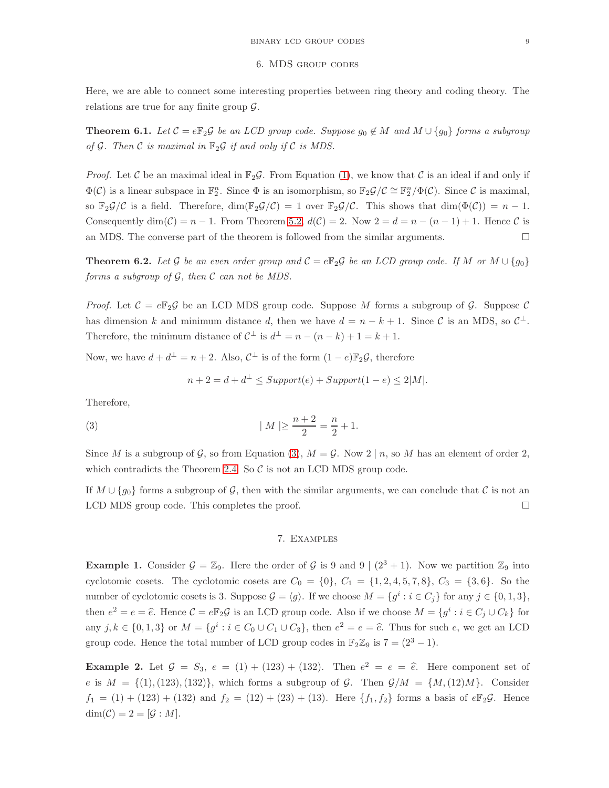# 6. MDS group codes

<span id="page-8-0"></span>Here, we are able to connect some interesting properties between ring theory and coding theory. The relations are true for any finite group  $\mathcal{G}$ .

**Theorem 6.1.** *Let*  $C = e\mathbb{F}_2\mathcal{G}$  *be an LCD group code. Suppose*  $g_0 \notin M$  *and*  $M \cup \{g_0\}$  *forms a subgroup of*  $G$ *. Then*  $C$  *is maximal in*  $\mathbb{F}_2 G$  *if and only if*  $C$  *is MDS.* 

*Proof.* Let C be an maximal ideal in  $\mathbb{F}_2\mathcal{G}$ . From Equation [\(1\)](#page-0-0), we know that C is an ideal if and only if  $\Phi(\mathcal{C})$  is a linear subspace in  $\mathbb{F}_2^n$ . Since  $\Phi$  is an isomorphism, so  $\mathbb{F}_2\mathcal{G}/\mathcal{C} \cong \mathbb{F}_2^n/\Phi(\mathcal{C})$ . Since  $\mathcal{C}$  is maximal, so  $\mathbb{F}_2\mathcal{G}/\mathcal{C}$  is a field. Therefore,  $\dim(\mathbb{F}_2\mathcal{G}/\mathcal{C}) = 1$  over  $\mathbb{F}_2\mathcal{G}/\mathcal{C}$ . This shows that  $\dim(\Phi(\mathcal{C})) = n - 1$ . Consequently dim( $C$ ) = n − 1. From Theorem [5.2,](#page-7-0)  $d(C) = 2$ . Now  $2 = d = n - (n - 1) + 1$ . Hence C is an MDS. The converse part of the theorem is followed from the similar arguments.  $\hfill \Box$ 

**Theorem 6.2.** Let G be an even order group and  $C = e\mathbb{F}_2G$  be an LCD group code. If M or  $M \cup \{g_0\}$ *forms a subgroup of* G*, then* C *can not be MDS.*

*Proof.* Let  $C = e\mathbb{F}_2\mathcal{G}$  be an LCD MDS group code. Suppose M forms a subgroup of  $\mathcal{G}$ . Suppose C has dimension k and minimum distance d, then we have  $d = n - k + 1$ . Since C is an MDS, so  $C^{\perp}$ . Therefore, the minimum distance of  $\mathcal{C}^{\perp}$  is  $d^{\perp} = n - (n - k) + 1 = k + 1$ .

Now, we have  $d + d^{\perp} = n + 2$ . Also,  $C^{\perp}$  is of the form  $(1 - e) \mathbb{F}_2 \mathcal{G}$ , therefore

<span id="page-8-2"></span>
$$
n + 2 = d + d^{\perp} \leq Support(e) + Support(1 - e) \leq 2|M|.
$$

Therefore,

(3) 
$$
|M| \ge \frac{n+2}{2} = \frac{n}{2} + 1.
$$

Since M is a subgroup of G, so from Equation [\(3\)](#page-8-2),  $M = G$ . Now  $2 | n$ , so M has an element of order 2, which contradicts the Theorem [2.4.](#page-3-1) So  $\mathcal C$  is not an LCD MDS group code.

<span id="page-8-1"></span>If  $M \cup \{g_0\}$  forms a subgroup of G, then with the similar arguments, we can conclude that C is not an LCD MDS group code. This completes the proof.  $\Box$ 

## 7. Examples

**Example 1.** Consider  $\mathcal{G} = \mathbb{Z}_9$ . Here the order of  $\mathcal{G}$  is 9 and 9 | (2<sup>3</sup> + 1). Now we partition  $\mathbb{Z}_9$  into cyclotomic cosets. The cyclotomic cosets are  $C_0 = \{0\}, C_1 = \{1, 2, 4, 5, 7, 8\}, C_3 = \{3, 6\}.$  So the number of cyclotomic cosets is 3. Suppose  $\mathcal{G} = \langle g \rangle$ . If we choose  $M = \{g^i : i \in C_j\}$  for any  $j \in \{0, 1, 3\}$ , then  $e^2 = e = \hat{e}$ . Hence  $C = e \mathbb{F}_2 \mathcal{G}$  is an LCD group code. Also if we choose  $M = \{g^i : i \in C_j \cup C_k\}$  for any  $j, k \in \{0, 1, 3\}$  or  $M = \{g^i : i \in C_0 \cup C_1 \cup C_3\}$ , then  $e^2 = e = \hat{e}$ . Thus for such  $e$ , we get an LCD group code. Hence the total number of LCD group codes in  $\mathbb{F}_2 \mathbb{Z}_9$  is  $7 = (2^3 - 1)$ .

**Example 2.** Let  $G = S_3$ ,  $e = (1) + (123) + (132)$ . Then  $e^2 = e = \hat{e}$ . Here component set of e is  $M = \{(1), (123), (132)\}\$ , which forms a subgroup of G. Then  $\mathcal{G}/M = \{M, (12)M\}\$ . Consider  $f_1 = (1) + (123) + (132)$  and  $f_2 = (12) + (23) + (13)$ . Here  $\{f_1, f_2\}$  forms a basis of  $e\mathbb{F}_2\mathcal{G}$ . Hence  $dim(\mathcal{C}) = 2 = [\mathcal{G}:M].$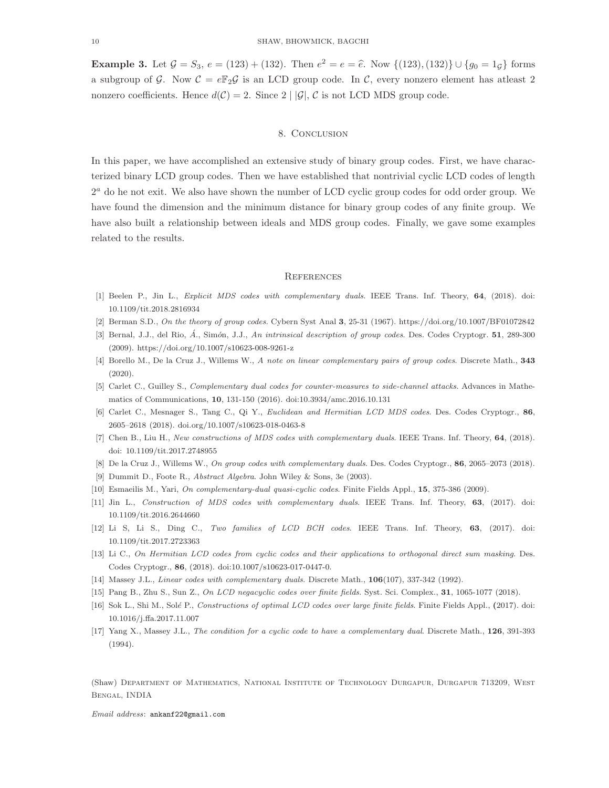<span id="page-9-16"></span>**Example 3.** Let  $\mathcal{G} = S_3$ ,  $e = (123) + (132)$ . Then  $e^2 = e = \hat{e}$ . Now  $\{(123), (132)\} \cup \{g_0 = 1_g\}$  forms a subgroup of G. Now  $\mathcal{C} = e\mathbb{F}_2\mathcal{G}$  is an LCD group code. In C, every nonzero element has atleast 2 nonzero coefficients. Hence  $d(C) = 2$ . Since  $2 |G|$ , C is not LCD MDS group code.

# 8. Conclusion

In this paper, we have accomplished an extensive study of binary group codes. First, we have characterized binary LCD group codes. Then we have established that nontrivial cyclic LCD codes of length  $2<sup>a</sup>$  do he not exit. We also have shown the number of LCD cyclic group codes for odd order group. We have found the dimension and the minimum distance for binary group codes of any finite group. We have also built a relationship between ideals and MDS group codes. Finally, we gave some examples related to the results.

#### **REFERENCES**

- <span id="page-9-8"></span><span id="page-9-0"></span>[1] Beelen P., Jin L., Explicit MDS codes with complementary duals. IEEE Trans. Inf. Theory, 64, (2018). doi: 10.1109/tit.2018.2816934
- <span id="page-9-14"></span>[2] Berman S.D., On the theory of group codes. Cybern Syst Anal 3, 25-31 (1967). https://doi.org/10.1007/BF01072842
- <span id="page-9-15"></span>[3] Bernal, J.J., del Rio, Á., Simón, J.J., An intrinsical description of group codes. Des. Codes Cryptogr. 51, 289-300 (2009). https://doi.org/10.1007/s10623-008-9261-z
- <span id="page-9-5"></span>[4] Borello M., De la Cruz J., Willems W., A note on linear complementary pairs of group codes. Discrete Math., 343 (2020).
- <span id="page-9-13"></span>[5] Carlet C., Guilley S., Complementary dual codes for counter-measures to side-channel attacks. Advances in Mathematics of Communications, 10, 131-150 (2016). doi:10.3934/amc.2016.10.131
- <span id="page-9-11"></span>[6] Carlet C., Mesnager S., Tang C., Qi Y., Euclidean and Hermitian LCD MDS codes. Des. Codes Cryptogr., 86, 2605–2618 (2018). doi.org/10.1007/s10623-018-0463-8
- <span id="page-9-1"></span>[7] Chen B., Liu H., New constructions of MDS codes with complementary duals. IEEE Trans. Inf. Theory, 64, (2018). doi: 10.1109/tit.2017.2748955
- [8] De la Cruz J., Willems W., On group codes with complementary duals. Des. Codes Cryptogr., 86, 2065–2073 (2018).
- <span id="page-9-4"></span>[9] Dummit D., Foote R., Abstract Algebra. John Wiley & Sons, 3e (2003).
- <span id="page-9-9"></span>[10] Esmaeilis M., Yari, On complementary-dual quasi-cyclic codes. Finite Fields Appl., 15, 375-386 (2009).
- <span id="page-9-10"></span>[11] Jin L., Construction of MDS codes with complementary duals. IEEE Trans. Inf. Theory, 63, (2017). doi: 10.1109/tit.2016.2644660
- <span id="page-9-6"></span>[12] Li S, Li S., Ding C., Two families of LCD BCH codes. IEEE Trans. Inf. Theory, 63, (2017). doi: 10.1109/tit.2017.2723363
- <span id="page-9-2"></span>[13] Li C., On Hermitian LCD codes from cyclic codes and their applications to orthogonal direct sum masking. Des. Codes Cryptogr., 86, (2018). doi:10.1007/s10623-017-0447-0.
- <span id="page-9-7"></span>[14] Massey J.L., *Linear codes with complementary duals.* Discrete Math., **106**(107), 337-342 (1992).
- <span id="page-9-12"></span>[15] Pang B., Zhu S., Sun Z., On LCD negacyclic codes over finite fields. Syst. Sci. Complex., 31, 1065-1077 (2018).
- <span id="page-9-3"></span>[16] Sok L., Shi M., Solé P., Constructions of optimal LCD codes over large finite fields. Finite Fields Appl., (2017). doi: 10.1016/j.ffa.2017.11.007
- [17] Yang X., Massey J.L., The condition for a cyclic code to have a complementary dual. Discrete Math., 126, 391-393 (1994).

(Shaw) Department of Mathematics, National Institute of Technology Durgapur, Durgapur 713209, West Bengal, INDIA